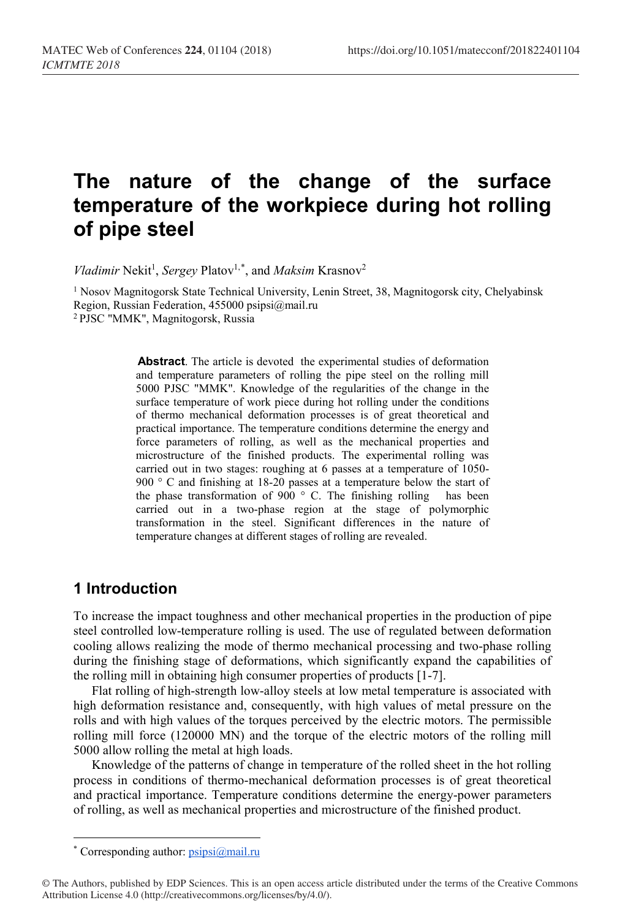# **The nature of the change of the surface temperature of the workpiece during hot rolling of pipe steel**

Vladimir Nekit<sup>1</sup>, Sergey Platov<sup>1,[\\*](#page-0-0)</sup>, and *Maksim* Krasnov<sup>2</sup>

<sup>1</sup> Nosov Magnitogorsk State Technical University, Lenin Street, 38, Magnitogorsk city, Chelyabinsk Region, Russian Federation, 455000 psipsi@mail.ru 2 PJSC "MMK", Magnitogorsk, Russia

> **Abstract**. The article is devoted the experimental studies of deformation and temperature parameters of rolling the pipe steel on the rolling mill 5000 PJSC "MMK". Knowledge of the regularities of the change in the surface temperature of work piece during hot rolling under the conditions of thermo mechanical deformation processes is of great theoretical and practical importance. The temperature conditions determine the energy and force parameters of rolling, as well as the mechanical properties and microstructure of the finished products. The experimental rolling was carried out in two stages: roughing at 6 passes at a temperature of 1050- 900 ° C and finishing at 18-20 passes at a temperature below the start of the phase transformation of 900  $\degree$  C. The finishing rolling has been carried out in a two-phase region at the stage of polymorphic transformation in the steel. Significant differences in the nature of temperature changes at different stages of rolling are revealed.

# **1 Introduction**

To increase the impact toughness and other mechanical properties in the production of pipe steel controlled low-temperature rolling is used. The use of regulated between deformation cooling allows realizing the mode of thermo mechanical processing and two-phase rolling during the finishing stage of deformations, which significantly expand the capabilities of the rolling mill in obtaining high consumer properties of products [1-7].

Flat rolling of high-strength low-alloy steels at low metal temperature is associated with high deformation resistance and, consequently, with high values of metal pressure on the rolls and with high values of the torques perceived by the electric motors. The permissible rolling mill force (120000 MN) and the torque of the electric motors of the rolling mill 5000 allow rolling the metal at high loads.

Knowledge of the patterns of change in temperature of the rolled sheet in the hot rolling process in conditions of thermo-mechanical deformation processes is of great theoretical and practical importance. Temperature conditions determine the energy-power parameters of rolling, as well as mechanical properties and microstructure of the finished product.

l

<sup>\*</sup> Corresponding author[: psipsi@mail.ru](mailto:psipsi@mail.ru)

<span id="page-0-0"></span><sup>©</sup> The Authors, published by EDP Sciences. This is an open access article distributed under the terms of the Creative Commons Attribution License 4.0 (http://creativecommons.org/licenses/by/4.0/).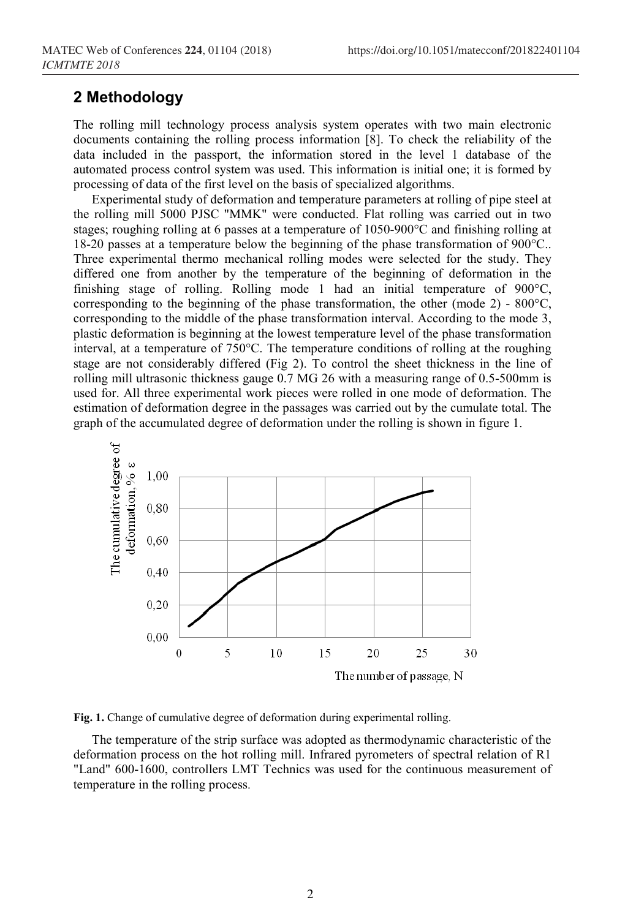#### **2 Methodology**

The rolling mill technology process analysis system operates with two main electronic documents containing the rolling process information [8]. To check the reliability of the data included in the passport, the information stored in the level 1 database of the automated process control system was used. This information is initial one; it is formed by processing of data of the first level on the basis of specialized algorithms.

Experimental study of deformation and temperature parameters at rolling of pipe steel at the rolling mill 5000 PJSC "MMK" were conducted. Flat rolling was carried out in two stages; roughing rolling at 6 passes at a temperature of 1050-900°C and finishing rolling at 18-20 passes at a temperature below the beginning of the phase transformation of 900°C.. Three experimental thermo mechanical rolling modes were selected for the study. They differed one from another by the temperature of the beginning of deformation in the finishing stage of rolling. Rolling mode 1 had an initial temperature of 900°C, corresponding to the beginning of the phase transformation, the other (mode 2) -  $800^{\circ}$ C, corresponding to the middle of the phase transformation interval. According to the mode 3, plastic deformation is beginning at the lowest temperature level of the phase transformation interval, at a temperature of 750°C. The temperature conditions of rolling at the roughing stage are not considerably differed (Fig 2). To control the sheet thickness in the line of rolling mill ultrasonic thickness gauge 0.7 MG 26 with a measuring range of 0.5-500mm is used for. All three experimental work pieces were rolled in one mode of deformation. The estimation of deformation degree in the passages was carried out by the cumulate total. The graph of the accumulated degree of deformation under the rolling is shown in figure 1.



**Fig. 1.** Change of cumulative degree of deformation during experimental rolling.

The temperature of the strip surface was adopted as thermodynamic characteristic of the deformation process on the hot rolling mill. Infrared pyrometers of spectral relation of R1 "Land" 600-1600, controllers LMT Тechnics was used for the continuous measurement of temperature in the rolling process.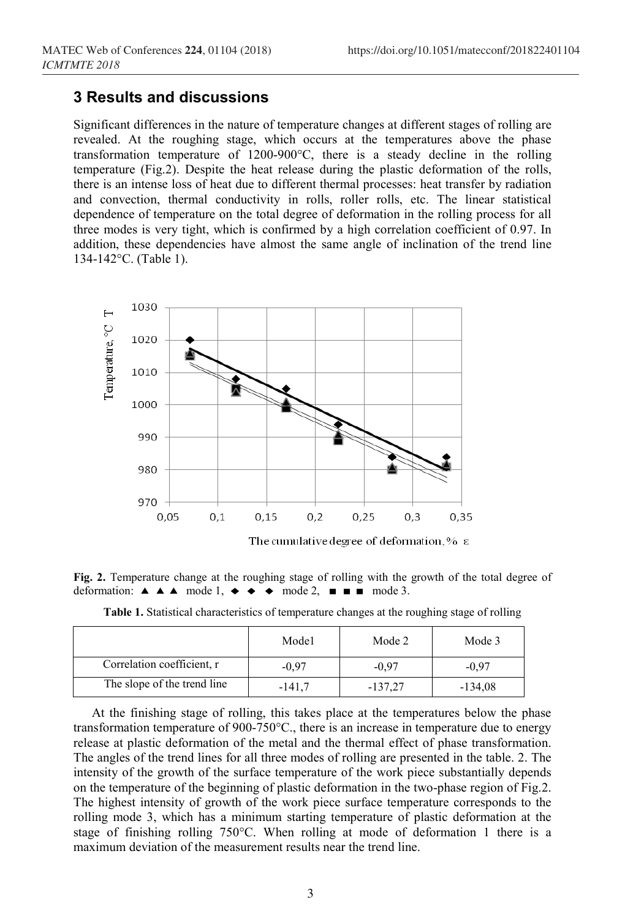## **3 Results and discussions**

Significant differences in the nature of temperature changes at different stages of rolling are revealed. At the roughing stage, which occurs at the temperatures above the phase transformation temperature of 1200-900°C, there is a steady decline in the rolling temperature (Fig.2). Despite the heat release during the plastic deformation of the rolls, there is an intense loss of heat due to different thermal processes: heat transfer by radiation and convection, thermal conductivity in rolls, roller rolls, etc. The linear statistical dependence of temperature on the total degree of deformation in the rolling process for all three modes is very tight, which is confirmed by a high correlation coefficient of 0.97. In addition, these dependencies have almost the same angle of inclination of the trend line 134-142°C. (Table 1).



**Fig. 2.** Temperature change at the roughing stage of rolling with the growth of the total degree of deformation:  $\triangle$   $\triangle$   $\triangle$  mode 1,  $\leftrightarrow$   $\leftrightarrow$  mode 2,  $\Box$  mode 3.

|                             | Mode1    | Mode 2    | Mode 3    |
|-----------------------------|----------|-----------|-----------|
| Correlation coefficient, r  | -0.97    | -0.97     | $-0.97$   |
| The slope of the trend line | $-141,7$ | $-137.27$ | $-134,08$ |

**Table 1.** Statistical characteristics of temperature changes at the roughing stage of rolling

At the finishing stage of rolling, this takes place at the temperatures below the phase transformation temperature of 900-750°C., there is an increase in temperature due to energy release at plastic deformation of the metal and the thermal effect of phase transformation. The angles of the trend lines for all three modes of rolling are presented in the table. 2. The intensity of the growth of the surface temperature of the work piece substantially depends on the temperature of the beginning of plastic deformation in the two-phase region of Fig.2. The highest intensity of growth of the work piece surface temperature corresponds to the rolling mode 3, which has a minimum starting temperature of plastic deformation at the stage of finishing rolling 750°C. When rolling at mode of deformation 1 there is a maximum deviation of the measurement results near the trend line.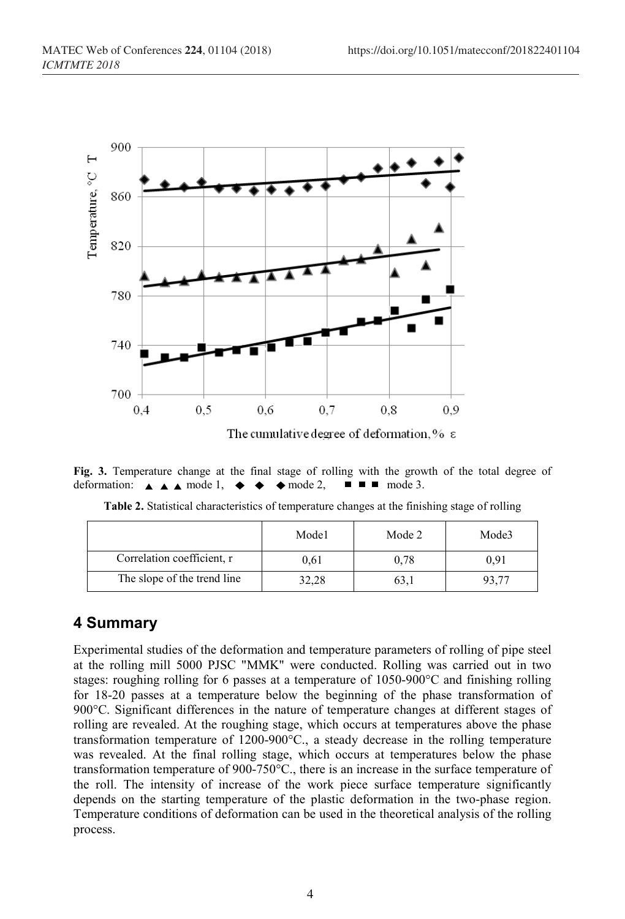

**Fig. 3.** Temperature change at the final stage of rolling with the growth of the total degree of deformation:  $\blacktriangle \blacktriangle$  mode 1.  $\blacktriangle \blacktriangle$  mode 2.  $\blacksquare \blacksquare$  mode 3. deformation:  $\triangle$   $\triangle$   $\triangle$  mode 1,  $\blacklozenge$   $\blacklozenge$  mode 2,  $\blacksquare$ 

|                            | Mode1 | Mode 2 | Mode3 |
|----------------------------|-------|--------|-------|
| Correlation coefficient, r | 0.61  | 0,78   | 0.91  |

The slope of the trend line  $\begin{array}{|c|c|c|c|c|c|} \hline 32,28 & 63,1 & 93,77 \ \hline \end{array}$ 

**Table 2.** Statistical characteristics of temperature changes at the finishing stage of rolling

# **4 Summary**

Experimental studies of the deformation and temperature parameters of rolling of pipe steel at the rolling mill 5000 PJSC "MMK" were conducted. Rolling was carried out in two stages: roughing rolling for 6 passes at a temperature of 1050-900°C and finishing rolling for 18-20 passes at a temperature below the beginning of the phase transformation of 900°C. Significant differences in the nature of temperature changes at different stages of rolling are revealed. At the roughing stage, which occurs at temperatures above the phase transformation temperature of 1200-900°C., a steady decrease in the rolling temperature was revealed. At the final rolling stage, which occurs at temperatures below the phase transformation temperature of 900-750°C., there is an increase in the surface temperature of the roll. The intensity of increase of the work piece surface temperature significantly depends on the starting temperature of the plastic deformation in the two-phase region. Temperature conditions of deformation can be used in the theoretical analysis of the rolling process.